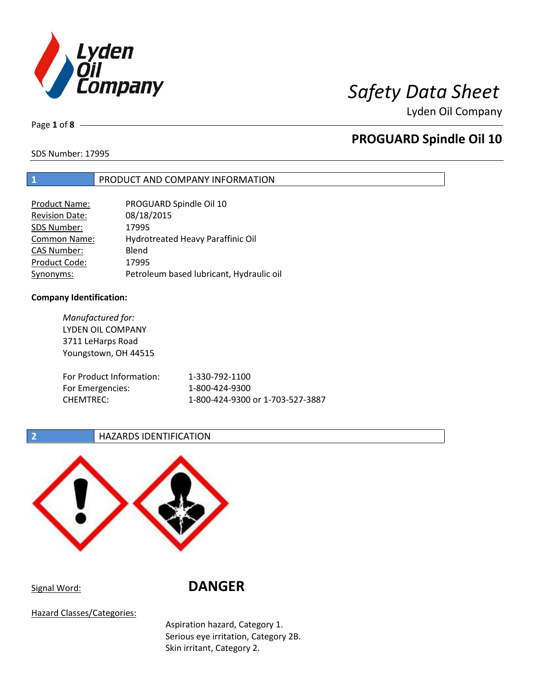

Lyden Oil Company

Page **1** of **8**

# **PROGUARD Spindle Oil 10**

SDS Number: 17995

## **1** PRODUCT AND COMPANY INFORMATION

| <b>Product Name:</b>  | PROGUARD Spindle Oil 10                  |
|-----------------------|------------------------------------------|
| <b>Revision Date:</b> | 08/18/2015                               |
| SDS Number:           | 17995                                    |
| <b>Common Name:</b>   | Hydrotreated Heavy Paraffinic Oil        |
| <b>CAS Number:</b>    | Blend                                    |
| Product Code:         | 17995                                    |
| Synonyms:             | Petroleum based lubricant, Hydraulic oil |

### **Company Identification:**

*Manufactured for:* LYDEN OIL COMPANY 3711 LeHarps Road Youngstown, OH 44515 For Product Information: 1-330-792-1100 For Emergencies: 1-800-424-9300 CHEMTREC: 1-800-424-9300 or 1-703-527-3887

## **2 HAZARDS IDENTIFICATION**



Signal Word: **DANGER**

Hazard Classes/Categories:

Aspiration hazard, Category 1. Serious eye irritation, Category 2B. Skin irritant, Category 2.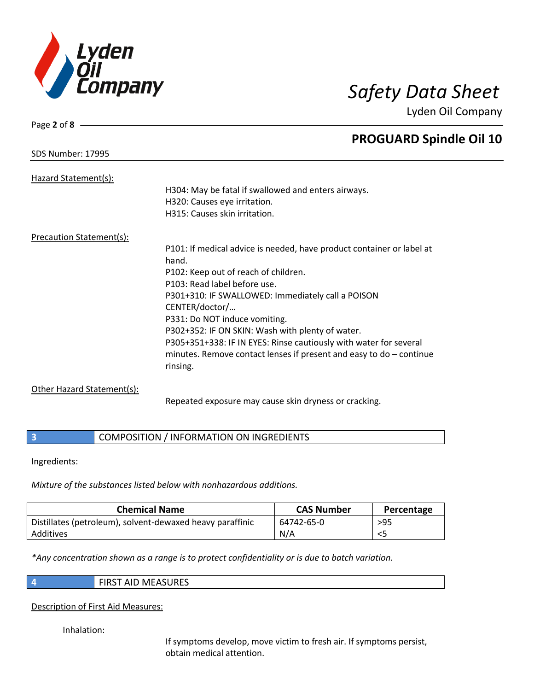

Page **2** of **8**

**PROGUARD Spindle Oil 10**

Lyden Oil Company

| SDS Number: 17995        |                                                                       |
|--------------------------|-----------------------------------------------------------------------|
|                          |                                                                       |
| Hazard Statement(s):     |                                                                       |
|                          | H304: May be fatal if swallowed and enters airways.                   |
|                          | H320: Causes eye irritation.                                          |
|                          | H315: Causes skin irritation.                                         |
| Precaution Statement(s): |                                                                       |
|                          | P101: If medical advice is needed, have product container or label at |
|                          | hand.                                                                 |
|                          | P102: Keep out of reach of children.                                  |
|                          | D <sub>103</sub> , Deed lakel hofers use                              |

P102: Keep out of reach of children. P103: Read label before use. P301+310: IF SWALLOWED: Immediately call a POISON CENTER/doctor/… P331: Do NOT induce vomiting. P302+352: IF ON SKIN: Wash with plenty of water. P305+351+338: IF IN EYES: Rinse cautiously with water for several minutes. Remove contact lenses if present and easy to do – continue rinsing.

## Other Hazard Statement(s):

Repeated exposure may cause skin dryness or cracking.

## **3 COMPOSITION** / INFORMATION ON INGREDIENTS

### Ingredients:

*Mixture of the substances listed below with nonhazardous additions.*

| <b>Chemical Name</b>                                      | <b>CAS Number</b> | Percentage |
|-----------------------------------------------------------|-------------------|------------|
| Distillates (petroleum), solvent-dewaxed heavy paraffinic | 64742-65-0        | $>95$      |
| Additives                                                 | N/A               | <5         |

*\*Any concentration shown as a range is to protect confidentiality or is due to batch variation.*

|  | <b>FIRST AID MEASURES</b> |
|--|---------------------------|
|--|---------------------------|

Description of First Aid Measures:

Inhalation:

If symptoms develop, move victim to fresh air. If symptoms persist, obtain medical attention.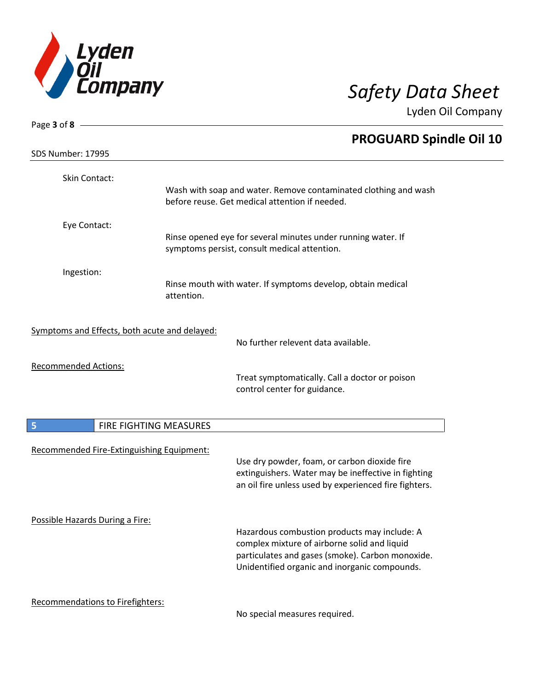

Lyden Oil Company

| Page 3 of 8 -                                 |                        |                                                                                                                   |
|-----------------------------------------------|------------------------|-------------------------------------------------------------------------------------------------------------------|
|                                               |                        | <b>PROGUARD Spindle Oil 10</b>                                                                                    |
| <b>SDS Number: 17995</b>                      |                        |                                                                                                                   |
| Skin Contact:                                 |                        |                                                                                                                   |
|                                               |                        | Wash with soap and water. Remove contaminated clothing and wash<br>before reuse. Get medical attention if needed. |
| Eye Contact:                                  |                        |                                                                                                                   |
|                                               |                        | Rinse opened eye for several minutes under running water. If<br>symptoms persist, consult medical attention.      |
| Ingestion:                                    |                        |                                                                                                                   |
|                                               | attention.             | Rinse mouth with water. If symptoms develop, obtain medical                                                       |
| Symptoms and Effects, both acute and delayed: |                        |                                                                                                                   |
|                                               |                        | No further relevent data available.                                                                               |
| <b>Recommended Actions:</b>                   |                        | Treat symptomatically. Call a doctor or poison                                                                    |
|                                               |                        | control center for guidance.                                                                                      |
| 5                                             | FIRE FIGHTING MEASURES |                                                                                                                   |
| Recommended Fire-Extinguishing Equipment:     |                        |                                                                                                                   |
|                                               |                        | Use dry powder, foam, or carbon dioxide fire<br>extinguishers. Water may be ineffective in fighting               |
|                                               |                        | an oil fire unless used by experienced fire fighters.                                                             |
| Possible Hazards During a Fire:               |                        |                                                                                                                   |
|                                               |                        | Hazardous combustion products may include: A<br>complex mixture of airborne solid and liquid                      |
|                                               |                        | particulates and gases (smoke). Carbon monoxide.                                                                  |
|                                               |                        | Unidentified organic and inorganic compounds.                                                                     |
| Recommendations to Firefighters:              |                        | No special measures required.                                                                                     |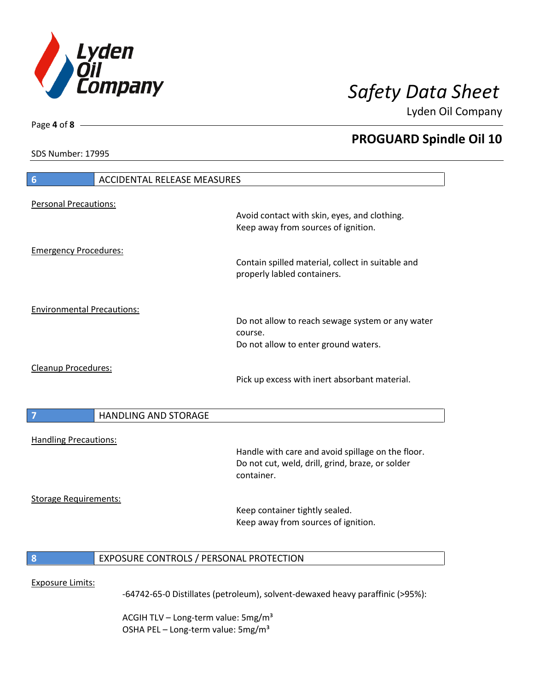

**PROGUARD Spindle Oil 10**

Lyden Oil Company

SDS Number: 17995

Page **4** of **8**

 $\overline{\phantom{a}}$ 

 $\overline{\phantom{a}}$ 

| $6\phantom{1}6$                   | <b>ACCIDENTAL RELEASE MEASURES</b>      |                                                                                                                     |
|-----------------------------------|-----------------------------------------|---------------------------------------------------------------------------------------------------------------------|
| <b>Personal Precautions:</b>      |                                         | Avoid contact with skin, eyes, and clothing.<br>Keep away from sources of ignition.                                 |
| <b>Emergency Procedures:</b>      |                                         | Contain spilled material, collect in suitable and<br>properly labled containers.                                    |
| <b>Environmental Precautions:</b> |                                         | Do not allow to reach sewage system or any water<br>course.<br>Do not allow to enter ground waters.                 |
| Cleanup Procedures:               |                                         | Pick up excess with inert absorbant material.                                                                       |
| 7                                 | <b>HANDLING AND STORAGE</b>             |                                                                                                                     |
| <b>Handling Precautions:</b>      |                                         | Handle with care and avoid spillage on the floor.<br>Do not cut, weld, drill, grind, braze, or solder<br>container. |
| <b>Storage Requirements:</b>      |                                         | Keep container tightly sealed.<br>Keep away from sources of ignition.                                               |
| 8                                 | EXPOSURE CONTROLS / PERSONAL PROTECTION |                                                                                                                     |
| <b>Exposure Limits:</b>           |                                         | -64742-65-0 Distillates (petroleum), solvent-dewaxed heavy paraffinic (>95%):                                       |

ACGIH TLV - Long-term value: 5mg/m<sup>3</sup> OSHA PEL - Long-term value: 5mg/m<sup>3</sup>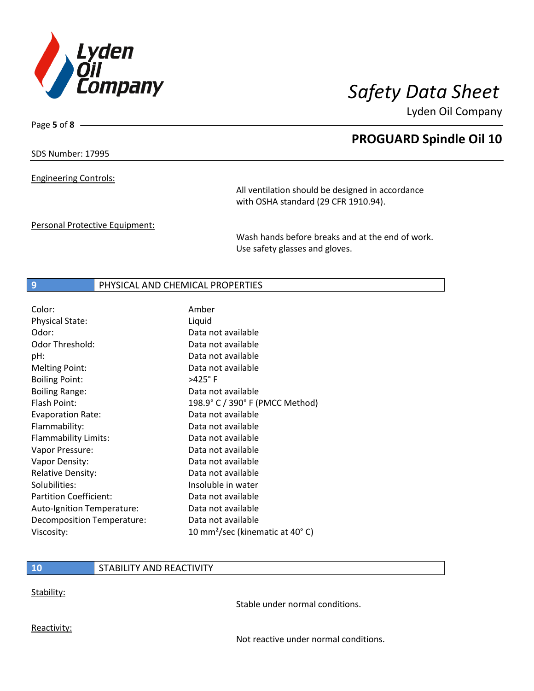

Page **5** of **8**

# **PROGUARD Spindle Oil 10**

Lyden Oil Company

SDS Number: 17995

Engineering Controls:

All ventilation should be designed in accordance with OSHA standard (29 CFR 1910.94).

Personal Protective Equipment:

Wash hands before breaks and at the end of work. Use safety glasses and gloves.

## **9** PHYSICAL AND CHEMICAL PROPERTIES

| Color:                        | Amber                                       |
|-------------------------------|---------------------------------------------|
| <b>Physical State:</b>        | Liquid                                      |
| Odor:                         | Data not available                          |
| Odor Threshold:               | Data not available                          |
| pH:                           | Data not available                          |
| <b>Melting Point:</b>         | Data not available                          |
| <b>Boiling Point:</b>         | $>425^\circ$ F                              |
| <b>Boiling Range:</b>         | Data not available                          |
| Flash Point:                  | 198.9° C / 390° F (PMCC Method)             |
| <b>Evaporation Rate:</b>      | Data not available                          |
| Flammability:                 | Data not available                          |
| Flammability Limits:          | Data not available                          |
| Vapor Pressure:               | Data not available                          |
| Vapor Density:                | Data not available                          |
| <b>Relative Density:</b>      | Data not available                          |
| Solubilities:                 | Insoluble in water                          |
| <b>Partition Coefficient:</b> | Data not available                          |
| Auto-Ignition Temperature:    | Data not available                          |
| Decomposition Temperature:    | Data not available                          |
| Viscosity:                    | 10 mm <sup>2</sup> /sec (kinematic at 40°C) |

## **10** STABILITY AND REACTIVITY

Stability:

Stable under normal conditions.

Reactivity:

Not reactive under normal conditions.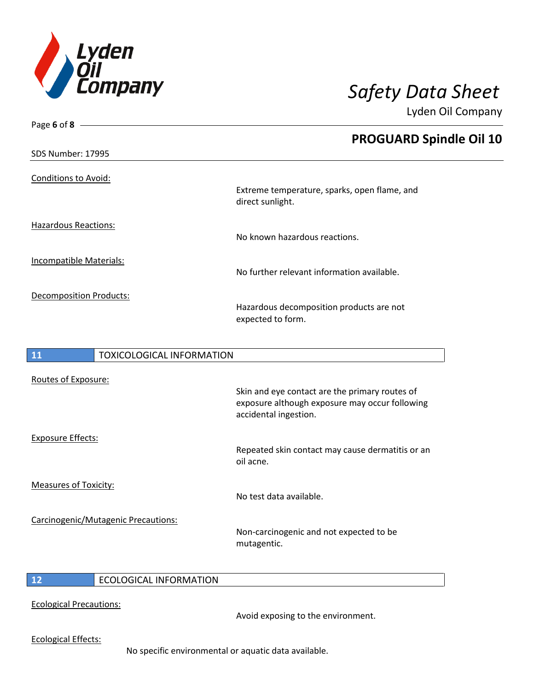

Page **6** of **8**

Lyden Oil Company

|                                        | <b>PROGUARD Spindle Oil 10</b>                                   |
|----------------------------------------|------------------------------------------------------------------|
| <b>SDS Number: 17995</b>               |                                                                  |
| <b>Conditions to Avoid:</b>            |                                                                  |
|                                        | Extreme temperature, sparks, open flame, and<br>direct sunlight. |
| <b>Hazardous Reactions:</b>            | No known hazardous reactions.                                    |
| <b>Incompatible Materials:</b>         | No further relevant information available.                       |
| <b>Decomposition Products:</b>         | Hazardous decomposition products are not<br>expected to form.    |
| 11<br><b>TOXICOLOGICAL INFORMATION</b> |                                                                  |
| Routes of Exposure:                    |                                                                  |

|                                     | Skin and eye contact are the primary routes of<br>exposure although exposure may occur following<br>accidental ingestion. |
|-------------------------------------|---------------------------------------------------------------------------------------------------------------------------|
| <b>Exposure Effects:</b>            |                                                                                                                           |
|                                     | Repeated skin contact may cause dermatitis or an<br>oil acne.                                                             |
| Measures of Toxicity:               |                                                                                                                           |
|                                     | No test data available.                                                                                                   |
| Carcinogenic/Mutagenic Precautions: |                                                                                                                           |
|                                     | Non-carcinogenic and not expected to be<br>mutagentic.                                                                    |

I

# **12** ECOLOGICAL INFORMATION

Ecological Precautions:

Avoid exposing to the environment.

Ecological Effects:

No specific environmental or aquatic data available.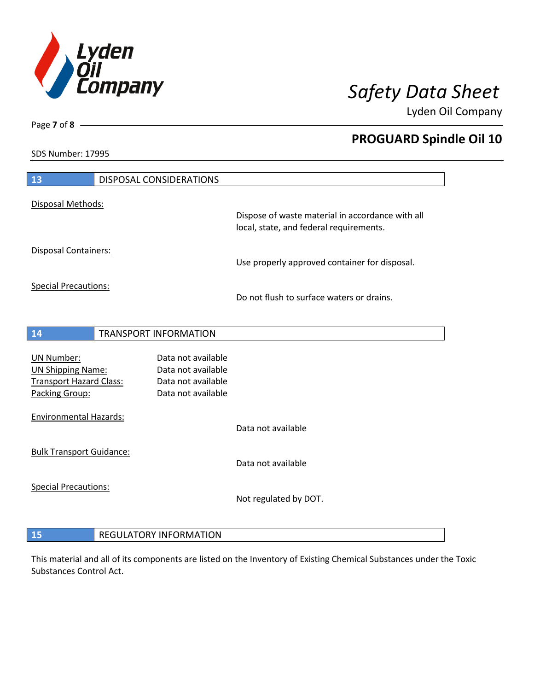

**PROGUARD Spindle Oil 10**

Lyden Oil Company

SDS Number: 17995

| Disposal Methods:<br>Dispose of waste material in accordance with all<br>local, state, and federal requirements.<br>Disposal Containers:<br>Use properly approved container for disposal.<br><b>Special Precautions:</b><br>Do not flush to surface waters or drains.<br><b>TRANSPORT INFORMATION</b><br>14<br>Data not available<br><b>UN Number:</b><br><b>UN Shipping Name:</b><br>Data not available<br><b>Transport Hazard Class:</b><br>Data not available<br>Packing Group:<br>Data not available<br><b>Environmental Hazards:</b><br>Data not available | Data not available<br>Not regulated by DOT. | 13 | <b>DISPOSAL CONSIDERATIONS</b> |  |
|-----------------------------------------------------------------------------------------------------------------------------------------------------------------------------------------------------------------------------------------------------------------------------------------------------------------------------------------------------------------------------------------------------------------------------------------------------------------------------------------------------------------------------------------------------------------|---------------------------------------------|----|--------------------------------|--|
|                                                                                                                                                                                                                                                                                                                                                                                                                                                                                                                                                                 |                                             |    |                                |  |
|                                                                                                                                                                                                                                                                                                                                                                                                                                                                                                                                                                 |                                             |    |                                |  |
|                                                                                                                                                                                                                                                                                                                                                                                                                                                                                                                                                                 |                                             |    |                                |  |
|                                                                                                                                                                                                                                                                                                                                                                                                                                                                                                                                                                 |                                             |    |                                |  |
|                                                                                                                                                                                                                                                                                                                                                                                                                                                                                                                                                                 |                                             |    |                                |  |
|                                                                                                                                                                                                                                                                                                                                                                                                                                                                                                                                                                 |                                             |    |                                |  |
|                                                                                                                                                                                                                                                                                                                                                                                                                                                                                                                                                                 |                                             |    |                                |  |
|                                                                                                                                                                                                                                                                                                                                                                                                                                                                                                                                                                 |                                             |    |                                |  |
|                                                                                                                                                                                                                                                                                                                                                                                                                                                                                                                                                                 |                                             |    |                                |  |
|                                                                                                                                                                                                                                                                                                                                                                                                                                                                                                                                                                 |                                             |    |                                |  |
|                                                                                                                                                                                                                                                                                                                                                                                                                                                                                                                                                                 |                                             |    |                                |  |
| <b>Bulk Transport Guidance:</b>                                                                                                                                                                                                                                                                                                                                                                                                                                                                                                                                 |                                             |    |                                |  |
|                                                                                                                                                                                                                                                                                                                                                                                                                                                                                                                                                                 |                                             |    |                                |  |
| <b>Special Precautions:</b>                                                                                                                                                                                                                                                                                                                                                                                                                                                                                                                                     |                                             |    |                                |  |
|                                                                                                                                                                                                                                                                                                                                                                                                                                                                                                                                                                 |                                             |    |                                |  |
|                                                                                                                                                                                                                                                                                                                                                                                                                                                                                                                                                                 | <b>REGULATORY INFORMATION</b>               | 15 |                                |  |

This material and all of its components are listed on the Inventory of Existing Chemical Substances under the Toxic Substances Control Act.